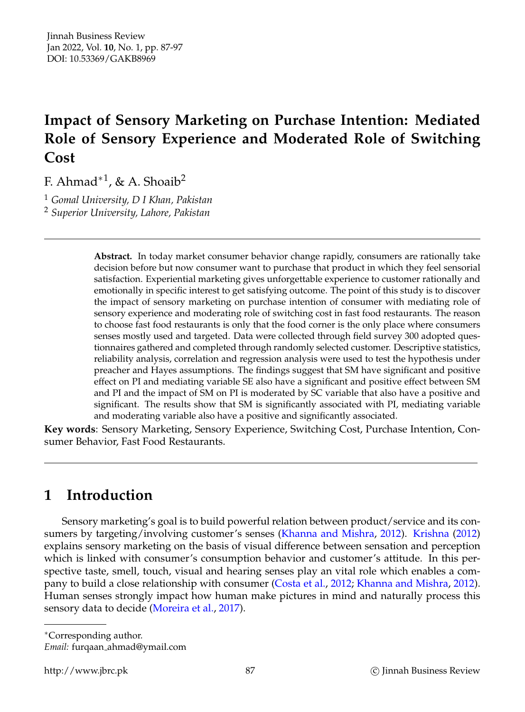# **Impact of Sensory Marketing on Purchase Intention: Mediated Role of Sensory Experience and Moderated Role of Switching Cost**

F. Ahmad $^{\ast1}$ , & A. Shoaib<sup>2</sup>

<sup>1</sup> *Gomal University, D I Khan, Pakistan* <sup>2</sup> *Superior University, Lahore, Pakistan*

> **Abstract.** In today market consumer behavior change rapidly, consumers are rationally take decision before but now consumer want to purchase that product in which they feel sensorial satisfaction. Experiential marketing gives unforgettable experience to customer rationally and emotionally in specific interest to get satisfying outcome. The point of this study is to discover the impact of sensory marketing on purchase intention of consumer with mediating role of sensory experience and moderating role of switching cost in fast food restaurants. The reason to choose fast food restaurants is only that the food corner is the only place where consumers senses mostly used and targeted. Data were collected through field survey 300 adopted questionnaires gathered and completed through randomly selected customer. Descriptive statistics, reliability analysis, correlation and regression analysis were used to test the hypothesis under preacher and Hayes assumptions. The findings suggest that SM have significant and positive effect on PI and mediating variable SE also have a significant and positive effect between SM and PI and the impact of SM on PI is moderated by SC variable that also have a positive and significant. The results show that SM is significantly associated with PI, mediating variable and moderating variable also have a positive and significantly associated.

**Key words**: Sensory Marketing, Sensory Experience, Switching Cost, Purchase Intention, Consumer Behavior, Fast Food Restaurants.

# **1 Introduction**

Sensory marketing's goal is to build powerful relation between product/service and its consumers by targeting/involving customer's senses [\(Khanna and Mishra,](#page-9-0) [2012\)](#page-9-0). [Krishna](#page-9-1) [\(2012\)](#page-9-1) explains sensory marketing on the basis of visual difference between sensation and perception which is linked with consumer's consumption behavior and customer's attitude. In this perspective taste, smell, touch, visual and hearing senses play an vital role which enables a company to build a close relationship with consumer [\(Costa et al.,](#page-8-0) [2012;](#page-8-0) [Khanna and Mishra,](#page-9-0) [2012\)](#page-9-0). Human senses strongly impact how human make pictures in mind and naturally process this sensory data to decide [\(Moreira et al.,](#page-9-2) [2017\)](#page-9-2).

<sup>∗</sup>Corresponding author.

*Email:* furqaan ahmad@ymail.com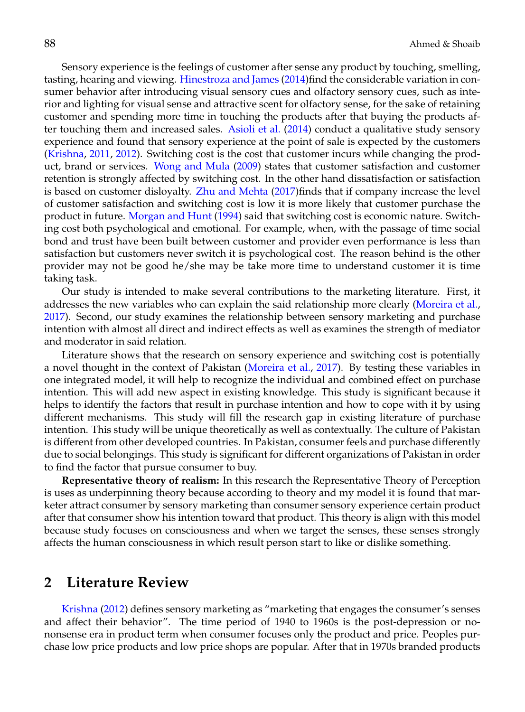Sensory experience is the feelings of customer after sense any product by touching, smelling, tasting, hearing and viewing. [Hinestroza and James](#page-8-1) [\(2014\)](#page-8-1)find the considerable variation in consumer behavior after introducing visual sensory cues and olfactory sensory cues, such as interior and lighting for visual sense and attractive scent for olfactory sense, for the sake of retaining customer and spending more time in touching the products after that buying the products after touching them and increased sales. [Asioli et al.](#page-8-2) [\(2014\)](#page-8-2) conduct a qualitative study sensory experience and found that sensory experience at the point of sale is expected by the customers [\(Krishna,](#page-9-3) [2011,](#page-9-3) [2012\)](#page-9-1). Switching cost is the cost that customer incurs while changing the product, brand or services. [Wong and Mula](#page-10-0) [\(2009\)](#page-10-0) states that customer satisfaction and customer retention is strongly affected by switching cost. In the other hand dissatisfaction or satisfaction is based on customer disloyalty. [Zhu and Mehta](#page-10-1) [\(2017\)](#page-10-1)finds that if company increase the level of customer satisfaction and switching cost is low it is more likely that customer purchase the product in future. [Morgan and Hunt](#page-9-4) [\(1994\)](#page-9-4) said that switching cost is economic nature. Switching cost both psychological and emotional. For example, when, with the passage of time social bond and trust have been built between customer and provider even performance is less than satisfaction but customers never switch it is psychological cost. The reason behind is the other provider may not be good he/she may be take more time to understand customer it is time taking task.

Our study is intended to make several contributions to the marketing literature. First, it addresses the new variables who can explain the said relationship more clearly [\(Moreira et al.,](#page-9-2) [2017\)](#page-9-2). Second, our study examines the relationship between sensory marketing and purchase intention with almost all direct and indirect effects as well as examines the strength of mediator and moderator in said relation.

Literature shows that the research on sensory experience and switching cost is potentially a novel thought in the context of Pakistan [\(Moreira et al.,](#page-9-2) [2017\)](#page-9-2). By testing these variables in one integrated model, it will help to recognize the individual and combined effect on purchase intention. This will add new aspect in existing knowledge. This study is significant because it helps to identify the factors that result in purchase intention and how to cope with it by using different mechanisms. This study will fill the research gap in existing literature of purchase intention. This study will be unique theoretically as well as contextually. The culture of Pakistan is different from other developed countries. In Pakistan, consumer feels and purchase differently due to social belongings. This study is significant for different organizations of Pakistan in order to find the factor that pursue consumer to buy.

**Representative theory of realism:** In this research the Representative Theory of Perception is uses as underpinning theory because according to theory and my model it is found that marketer attract consumer by sensory marketing than consumer sensory experience certain product after that consumer show his intention toward that product. This theory is align with this model because study focuses on consciousness and when we target the senses, these senses strongly affects the human consciousness in which result person start to like or dislike something.

## **2 Literature Review**

[Krishna](#page-9-1) [\(2012\)](#page-9-1) defines sensory marketing as "marketing that engages the consumer's senses and affect their behavior". The time period of 1940 to 1960s is the post-depression or nononsense era in product term when consumer focuses only the product and price. Peoples purchase low price products and low price shops are popular. After that in 1970s branded products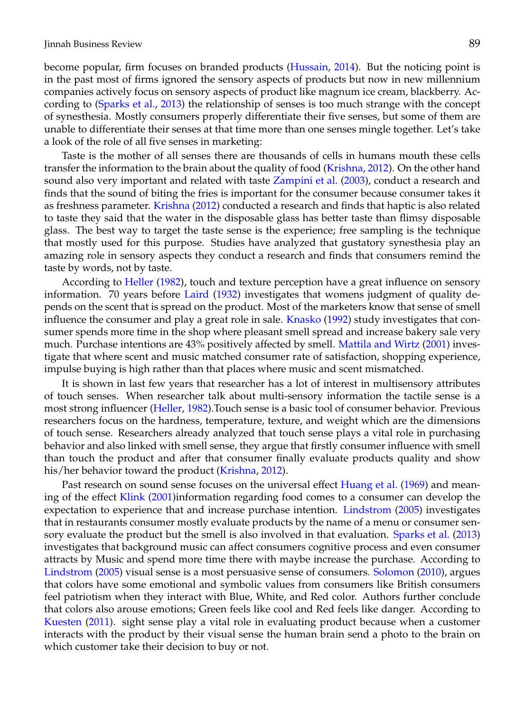become popular, firm focuses on branded products [\(Hussain,](#page-9-5) [2014\)](#page-9-5). But the noticing point is in the past most of firms ignored the sensory aspects of products but now in new millennium companies actively focus on sensory aspects of product like magnum ice cream, blackberry. According to [\(Sparks et al.,](#page-9-6) [2013\)](#page-9-6) the relationship of senses is too much strange with the concept of synesthesia. Mostly consumers properly differentiate their five senses, but some of them are unable to differentiate their senses at that time more than one senses mingle together. Let's take a look of the role of all five senses in marketing:

Taste is the mother of all senses there are thousands of cells in humans mouth these cells transfer the information to the brain about the quality of food [\(Krishna,](#page-9-1) [2012\)](#page-9-1). On the other hand sound also very important and related with taste [Zampini et al.](#page-10-2) [\(2003\)](#page-10-2), conduct a research and finds that the sound of biting the fries is important for the consumer because consumer takes it as freshness parameter. [Krishna](#page-9-1) [\(2012\)](#page-9-1) conducted a research and finds that haptic is also related to taste they said that the water in the disposable glass has better taste than flimsy disposable glass. The best way to target the taste sense is the experience; free sampling is the technique that mostly used for this purpose. Studies have analyzed that gustatory synesthesia play an amazing role in sensory aspects they conduct a research and finds that consumers remind the taste by words, not by taste.

According to [Heller](#page-8-3) [\(1982\)](#page-8-3), touch and texture perception have a great influence on sensory information. 70 years before [Laird](#page-9-7) [\(1932\)](#page-9-7) investigates that womens judgment of quality depends on the scent that is spread on the product. Most of the marketers know that sense of smell influence the consumer and play a great role in sale. [Knasko](#page-9-8) [\(1992\)](#page-9-8) study investigates that consumer spends more time in the shop where pleasant smell spread and increase bakery sale very much. Purchase intentions are 43% positively affected by smell. [Mattila and Wirtz](#page-9-9) [\(2001\)](#page-9-9) investigate that where scent and music matched consumer rate of satisfaction, shopping experience, impulse buying is high rather than that places where music and scent mismatched.

It is shown in last few years that researcher has a lot of interest in multisensory attributes of touch senses. When researcher talk about multi-sensory information the tactile sense is a most strong influencer [\(Heller,](#page-8-3) [1982\)](#page-8-3).Touch sense is a basic tool of consumer behavior. Previous researchers focus on the hardness, temperature, texture, and weight which are the dimensions of touch sense. Researchers already analyzed that touch sense plays a vital role in purchasing behavior and also linked with smell sense, they argue that firstly consumer influence with smell than touch the product and after that consumer finally evaluate products quality and show his/her behavior toward the product [\(Krishna,](#page-9-1) [2012\)](#page-9-1).

Past research on sound sense focuses on the universal effect [Huang et al.](#page-9-10) [\(1969\)](#page-9-10) and meaning of the effect [Klink](#page-9-11) [\(2001\)](#page-9-11)information regarding food comes to a consumer can develop the expectation to experience that and increase purchase intention. [Lindstrom](#page-9-12) [\(2005\)](#page-9-12) investigates that in restaurants consumer mostly evaluate products by the name of a menu or consumer sensory evaluate the product but the smell is also involved in that evaluation. [Sparks et al.](#page-9-6) [\(2013\)](#page-9-6) investigates that background music can affect consumers cognitive process and even consumer attracts by Music and spend more time there with maybe increase the purchase. According to [Lindstrom](#page-9-12) [\(2005\)](#page-9-12) visual sense is a most persuasive sense of consumers. [Solomon](#page-9-13) [\(2010\)](#page-9-13), argues that colors have some emotional and symbolic values from consumers like British consumers feel patriotism when they interact with Blue, White, and Red color. Authors further conclude that colors also arouse emotions; Green feels like cool and Red feels like danger. According to [Kuesten](#page-9-14) [\(2011\)](#page-9-14). sight sense play a vital role in evaluating product because when a customer interacts with the product by their visual sense the human brain send a photo to the brain on which customer take their decision to buy or not.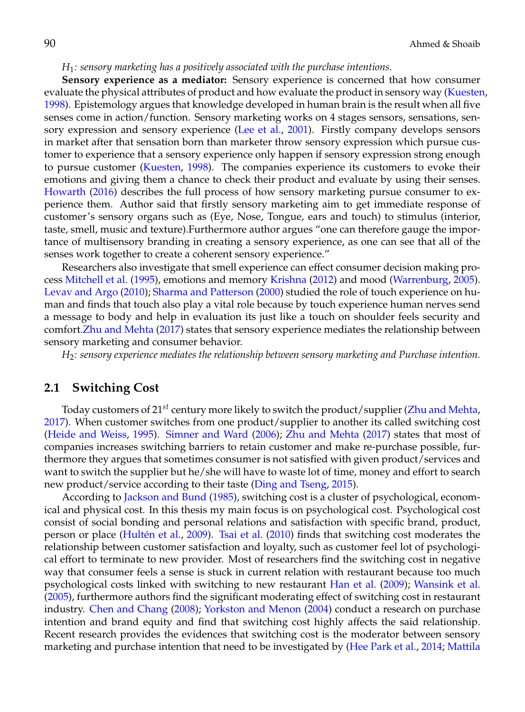### *H*1*: sensory marketing has a positively associated with the purchase intentions.*

**Sensory experience as a mediator:** Sensory experience is concerned that how consumer evaluate the physical attributes of product and how evaluate the product in sensory way [\(Kuesten,](#page-9-15) [1998\)](#page-9-15). Epistemology argues that knowledge developed in human brain is the result when all five senses come in action/function. Sensory marketing works on 4 stages sensors, sensations, sensory expression and sensory experience [\(Lee et al.,](#page-9-16) [2001\)](#page-9-16). Firstly company develops sensors in market after that sensation born than marketer throw sensory expression which pursue customer to experience that a sensory experience only happen if sensory expression strong enough to pursue customer [\(Kuesten,](#page-9-15) [1998\)](#page-9-15). The companies experience its customers to evoke their emotions and giving them a chance to check their product and evaluate by using their senses. [Howarth](#page-8-4) [\(2016\)](#page-8-4) describes the full process of how sensory marketing pursue consumer to experience them. Author said that firstly sensory marketing aim to get immediate response of customer's sensory organs such as (Eye, Nose, Tongue, ears and touch) to stimulus (interior, taste, smell, music and texture).Furthermore author argues "one can therefore gauge the importance of multisensory branding in creating a sensory experience, as one can see that all of the senses work together to create a coherent sensory experience."

Researchers also investigate that smell experience can effect consumer decision making process [Mitchell et al.](#page-9-17) [\(1995\)](#page-9-17), emotions and memory [Krishna](#page-9-1) [\(2012\)](#page-9-1) and mood [\(Warrenburg,](#page-10-3) [2005\)](#page-10-3). [Levav and Argo](#page-9-18) [\(2010\)](#page-9-18); [Sharma and Patterson](#page-9-19) [\(2000\)](#page-9-19) studied the role of touch experience on human and finds that touch also play a vital role because by touch experience human nerves send a message to body and help in evaluation its just like a touch on shoulder feels security and comfort[.Zhu and Mehta](#page-10-1) [\(2017\)](#page-10-1) states that sensory experience mediates the relationship between sensory marketing and consumer behavior.

*H*2*: sensory experience mediates the relationship between sensory marketing and Purchase intention.*

### **2.1 Switching Cost**

Today customers of 21*st* century more likely to switch the product/supplier [\(Zhu and Mehta,](#page-10-1) [2017\)](#page-10-1). When customer switches from one product/supplier to another its called switching cost [\(Heide and Weiss,](#page-8-5) [1995\)](#page-8-5). [Simner and Ward](#page-9-20) [\(2006\)](#page-9-20); [Zhu and Mehta](#page-10-1) [\(2017\)](#page-10-1) states that most of companies increases switching barriers to retain customer and make re-purchase possible, furthermore they argues that sometimes consumer is not satisfied with given product/services and want to switch the supplier but he/she will have to waste lot of time, money and effort to search new product/service according to their taste [\(Ding and Tseng,](#page-8-6) [2015\)](#page-8-6).

According to [Jackson and Bund](#page-9-21) [\(1985\)](#page-9-21), switching cost is a cluster of psychological, economical and physical cost. In this thesis my main focus is on psychological cost. Psychological cost consist of social bonding and personal relations and satisfaction with specific brand, product, person or place (Hultén et al., [2009\)](#page-9-22). [Tsai et al.](#page-10-4) [\(2010\)](#page-10-4) finds that switching cost moderates the relationship between customer satisfaction and loyalty, such as customer feel lot of psychological effort to terminate to new provider. Most of researchers find the switching cost in negative way that consumer feels a sense is stuck in current relation with restaurant because too much psychological costs linked with switching to new restaurant [Han et al.](#page-8-7) [\(2009\)](#page-8-7); [Wansink et al.](#page-10-5) [\(2005\)](#page-10-5), furthermore authors find the significant moderating effect of switching cost in restaurant industry. [Chen and Chang](#page-8-8) [\(2008\)](#page-8-8); [Yorkston and Menon](#page-10-6) [\(2004\)](#page-10-6) conduct a research on purchase intention and brand equity and find that switching cost highly affects the said relationship. Recent research provides the evidences that switching cost is the moderator between sensory marketing and purchase intention that need to be investigated by [\(Hee Park et al.,](#page-8-9) [2014;](#page-8-9) [Mattila](#page-9-9)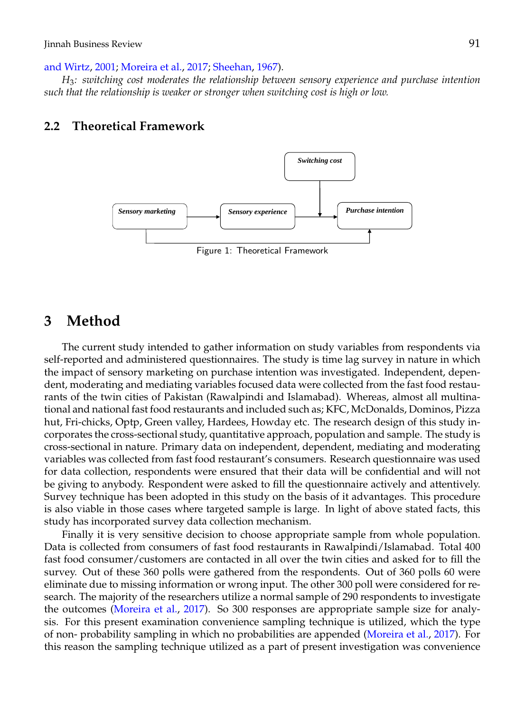### [and Wirtz,](#page-9-9) [2001;](#page-9-9) [Moreira et al.,](#page-9-2) [2017;](#page-9-2) [Sheehan,](#page-9-23) [1967\)](#page-9-23).

*H*3*: switching cost moderates the relationship between sensory experience and purchase intention such that the relationship is weaker or stronger when switching cost is high or low.*

## **2.2 Theoretical Framework**



Figure 1: Theoretical Framework

## **3 Method**

The current study intended to gather information on study variables from respondents via self-reported and administered questionnaires. The study is time lag survey in nature in which the impact of sensory marketing on purchase intention was investigated. Independent, dependent, moderating and mediating variables focused data were collected from the fast food restaurants of the twin cities of Pakistan (Rawalpindi and Islamabad). Whereas, almost all multinational and national fast food restaurants and included such as; KFC, McDonalds, Dominos, Pizza hut, Fri-chicks, Optp, Green valley, Hardees, Howday etc. The research design of this study incorporates the cross-sectional study, quantitative approach, population and sample. The study is cross-sectional in nature. Primary data on independent, dependent, mediating and moderating variables was collected from fast food restaurant's consumers. Research questionnaire was used for data collection, respondents were ensured that their data will be confidential and will not be giving to anybody. Respondent were asked to fill the questionnaire actively and attentively. Survey technique has been adopted in this study on the basis of it advantages. This procedure is also viable in those cases where targeted sample is large. In light of above stated facts, this study has incorporated survey data collection mechanism.

Finally it is very sensitive decision to choose appropriate sample from whole population. Data is collected from consumers of fast food restaurants in Rawalpindi/Islamabad. Total 400 fast food consumer/customers are contacted in all over the twin cities and asked for to fill the survey. Out of these 360 polls were gathered from the respondents. Out of 360 polls 60 were eliminate due to missing information or wrong input. The other 300 poll were considered for research. The majority of the researchers utilize a normal sample of 290 respondents to investigate the outcomes [\(Moreira et al.,](#page-9-2) [2017\)](#page-9-2). So 300 responses are appropriate sample size for analysis. For this present examination convenience sampling technique is utilized, which the type of non- probability sampling in which no probabilities are appended [\(Moreira et al.,](#page-9-2) [2017\)](#page-9-2). For this reason the sampling technique utilized as a part of present investigation was convenience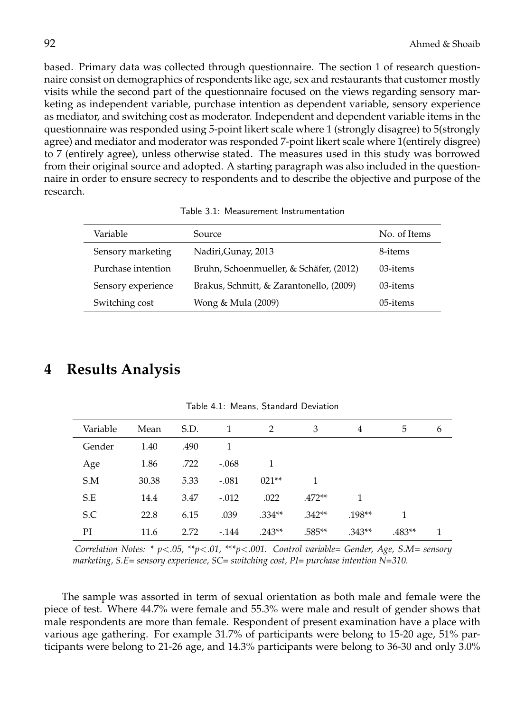based. Primary data was collected through questionnaire. The section 1 of research questionnaire consist on demographics of respondents like age, sex and restaurants that customer mostly visits while the second part of the questionnaire focused on the views regarding sensory marketing as independent variable, purchase intention as dependent variable, sensory experience as mediator, and switching cost as moderator. Independent and dependent variable items in the questionnaire was responded using 5-point likert scale where 1 (strongly disagree) to 5(strongly agree) and mediator and moderator was responded 7-point likert scale where 1(entirely disgree) to 7 (entirely agree), unless otherwise stated. The measures used in this study was borrowed from their original source and adopted. A starting paragraph was also included in the questionnaire in order to ensure secrecy to respondents and to describe the objective and purpose of the research.

Table 3.1: Measurement Instrumentation

| Variable           | Source.                                 | No. of Items |
|--------------------|-----------------------------------------|--------------|
| Sensory marketing  | Nadiri, Gunay, 2013                     | 8-items      |
| Purchase intention | Bruhn, Schoenmueller, & Schäfer, (2012) | 03-items     |
| Sensory experience | Brakus, Schmitt, & Zarantonello, (2009) | 03-items     |
| Switching cost     | Wong & Mula (2009)                      | 05-items     |

## **4 Results Analysis**

| Variable | Mean  | S.D. | -1      | 2        | 3        | 4        | 5        | 6 |
|----------|-------|------|---------|----------|----------|----------|----------|---|
| Gender   | 1.40  | .490 | 1       |          |          |          |          |   |
| Age      | 1.86  | .722 | $-.068$ |          |          |          |          |   |
| S.M      | 30.38 | 5.33 | $-.081$ | $021**$  |          |          |          |   |
| S.E      | 14.4  | 3.47 | $-.012$ | .022     | $.472**$ | 1        |          |   |
| S.C      | 22.8  | 6.15 | .039    | $.334**$ | $.342**$ | $.198**$ |          |   |
| PI       | 11.6  | 2.72 | $-144$  | $.243**$ | $.585**$ | $.343**$ | $.483**$ | 1 |

Table 4.1: Means, Standard Deviation

*Correlation Notes: \* p*<*.05, \*\*p*<*.01, \*\*\*p*<*.001. Control variable= Gender, Age, S.M= sensory marketing, S.E= sensory experience, SC= switching cost, PI= purchase intention N=310.*

The sample was assorted in term of sexual orientation as both male and female were the piece of test. Where 44.7% were female and 55.3% were male and result of gender shows that male respondents are more than female. Respondent of present examination have a place with various age gathering. For example 31.7% of participants were belong to 15-20 age, 51% participants were belong to 21-26 age, and 14.3% participants were belong to 36-30 and only 3.0%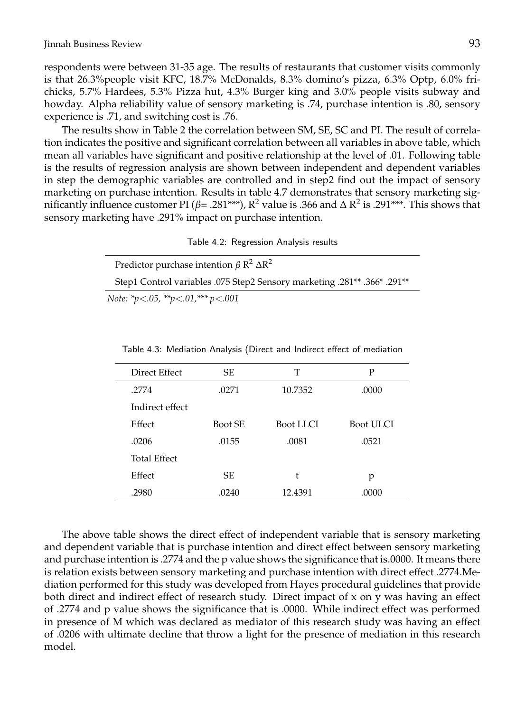respondents were between 31-35 age. The results of restaurants that customer visits commonly is that 26.3%people visit KFC, 18.7% McDonalds, 8.3% domino's pizza, 6.3% Optp, 6.0% frichicks, 5.7% Hardees, 5.3% Pizza hut, 4.3% Burger king and 3.0% people visits subway and howday. Alpha reliability value of sensory marketing is .74, purchase intention is .80, sensory experience is .71, and switching cost is .76.

The results show in Table 2 the correlation between SM, SE, SC and PI. The result of correlation indicates the positive and significant correlation between all variables in above table, which mean all variables have significant and positive relationship at the level of .01. Following table is the results of regression analysis are shown between independent and dependent variables in step the demographic variables are controlled and in step2 find out the impact of sensory marketing on purchase intention. Results in table 4.7 demonstrates that sensory marketing significantly influence customer PI ( $\beta$ = .281\*\*\*),  $\rm R^2$  value is .366 and  $\Delta$   $\rm R^2$  is .291\*\*\*. This shows that sensory marketing have .291% impact on purchase intention.

| Table 4.2: Regression Analysis results |  |  |
|----------------------------------------|--|--|
|                                        |  |  |

| Predictor purchase intention $\beta R^2 \Delta R^2$                         |
|-----------------------------------------------------------------------------|
| 366* 291** 366. **366. Step1 Control variables 075 Step2 Sensory marketing. |
| Note: *p<.05, **p<.01, *** p<.001                                           |

| Direct Effect       | SE.            | Т                | P         |
|---------------------|----------------|------------------|-----------|
| .2774               | .0271          | 10.7352          | .0000     |
| Indirect effect     |                |                  |           |
| Effect              | <b>Boot SE</b> | <b>Boot LLCI</b> | Boot ULCI |
| .0206               | .0155          | .0081            | .0521     |
| <b>Total Effect</b> |                |                  |           |
| Effect              | SE.            | t                | p         |
| .2980               | .0240          | 12.4391          | .0000     |

Table 4.3: Mediation Analysis (Direct and Indirect effect of mediation

The above table shows the direct effect of independent variable that is sensory marketing and dependent variable that is purchase intention and direct effect between sensory marketing and purchase intention is .2774 and the p value shows the significance that is.0000. It means there is relation exists between sensory marketing and purchase intention with direct effect .2774.Mediation performed for this study was developed from Hayes procedural guidelines that provide both direct and indirect effect of research study. Direct impact of x on y was having an effect of .2774 and p value shows the significance that is .0000. While indirect effect was performed in presence of M which was declared as mediator of this research study was having an effect of .0206 with ultimate decline that throw a light for the presence of mediation in this research model.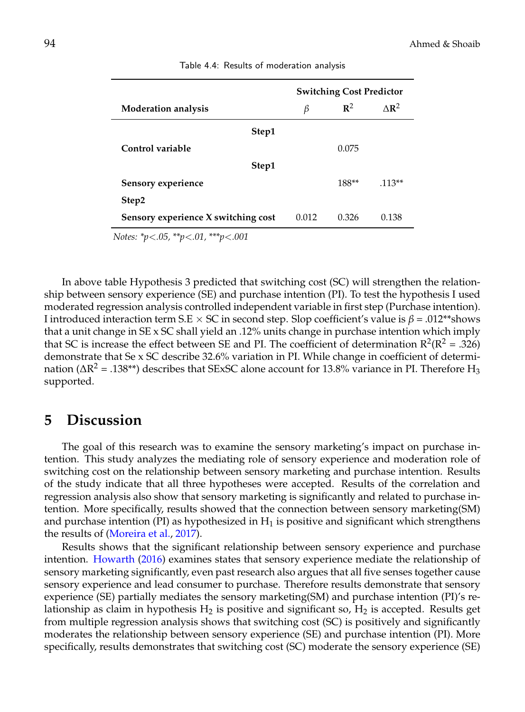| <b>Switching Cost Predictor</b> |                |                            |
|---------------------------------|----------------|----------------------------|
| β                               | $\mathbb{R}^2$ | $\triangle$ R <sup>2</sup> |
|                                 |                |                            |
|                                 | 0.075          |                            |
|                                 |                |                            |
|                                 | $188**$        | $.113**$                   |
|                                 |                |                            |
| 0.012                           | 0.326          | 0.138                      |
|                                 |                |                            |

Table 4.4: Results of moderation analysis

*Notes: \*p*<*.05, \*\*p*<*.01, \*\*\*p*<*.001*

In above table Hypothesis 3 predicted that switching cost (SC) will strengthen the relationship between sensory experience (SE) and purchase intention (PI). To test the hypothesis I used moderated regression analysis controlled independent variable in first step (Purchase intention). I introduced interaction term S.E  $\times$  SC in second step. Slop coefficient's value is  $\beta$  = .012\*\*shows that a unit change in  $SE \times SC$  shall yield an .12% units change in purchase intention which imply that SC is increase the effect between SE and PI. The coefficient of determination  $R^2(R^2 = .326)$ demonstrate that Se x SC describe 32.6% variation in PI. While change in coefficient of determination (∆R<sup>2</sup> = .138\*\*) describes that SExSC alone account for 13.8% variance in PI. Therefore  $\rm H_{3}$ supported.

## **5 Discussion**

The goal of this research was to examine the sensory marketing's impact on purchase intention. This study analyzes the mediating role of sensory experience and moderation role of switching cost on the relationship between sensory marketing and purchase intention. Results of the study indicate that all three hypotheses were accepted. Results of the correlation and regression analysis also show that sensory marketing is significantly and related to purchase intention. More specifically, results showed that the connection between sensory marketing(SM) and purchase intention (PI) as hypothesized in  $H_1$  is positive and significant which strengthens the results of [\(Moreira et al.,](#page-9-2) [2017\)](#page-9-2).

Results shows that the significant relationship between sensory experience and purchase intention. [Howarth](#page-8-4) [\(2016\)](#page-8-4) examines states that sensory experience mediate the relationship of sensory marketing significantly, even past research also argues that all five senses together cause sensory experience and lead consumer to purchase. Therefore results demonstrate that sensory experience (SE) partially mediates the sensory marketing(SM) and purchase intention (PI)'s relationship as claim in hypothesis  $H_2$  is positive and significant so,  $H_2$  is accepted. Results get from multiple regression analysis shows that switching cost (SC) is positively and significantly moderates the relationship between sensory experience (SE) and purchase intention (PI). More specifically, results demonstrates that switching cost (SC) moderate the sensory experience (SE)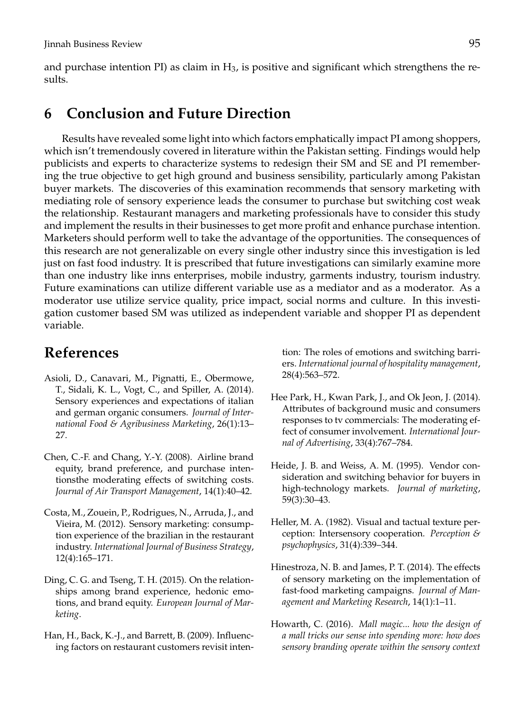and purchase intention PI) as claim in  $H_3$ , is positive and significant which strengthens the results.

## **6 Conclusion and Future Direction**

Results have revealed some light into which factors emphatically impact PI among shoppers, which isn't tremendously covered in literature within the Pakistan setting. Findings would help publicists and experts to characterize systems to redesign their SM and SE and PI remembering the true objective to get high ground and business sensibility, particularly among Pakistan buyer markets. The discoveries of this examination recommends that sensory marketing with mediating role of sensory experience leads the consumer to purchase but switching cost weak the relationship. Restaurant managers and marketing professionals have to consider this study and implement the results in their businesses to get more profit and enhance purchase intention. Marketers should perform well to take the advantage of the opportunities. The consequences of this research are not generalizable on every single other industry since this investigation is led just on fast food industry. It is prescribed that future investigations can similarly examine more than one industry like inns enterprises, mobile industry, garments industry, tourism industry. Future examinations can utilize different variable use as a mediator and as a moderator. As a moderator use utilize service quality, price impact, social norms and culture. In this investigation customer based SM was utilized as independent variable and shopper PI as dependent variable.

# **References**

- <span id="page-8-2"></span>Asioli, D., Canavari, M., Pignatti, E., Obermowe, T., Sidali, K. L., Vogt, C., and Spiller, A. (2014). Sensory experiences and expectations of italian and german organic consumers. *Journal of International Food & Agribusiness Marketing*, 26(1):13– 27.
- <span id="page-8-8"></span>Chen, C.-F. and Chang, Y.-Y. (2008). Airline brand equity, brand preference, and purchase intentionsthe moderating effects of switching costs. *Journal of Air Transport Management*, 14(1):40–42.
- <span id="page-8-0"></span>Costa, M., Zouein, P., Rodrigues, N., Arruda, J., and Vieira, M. (2012). Sensory marketing: consumption experience of the brazilian in the restaurant industry. *International Journal of Business Strategy*, 12(4):165–171.
- <span id="page-8-6"></span>Ding, C. G. and Tseng, T. H. (2015). On the relationships among brand experience, hedonic emotions, and brand equity. *European Journal of Marketing*.
- <span id="page-8-7"></span>Han, H., Back, K.-J., and Barrett, B. (2009). Influencing factors on restaurant customers revisit inten-

tion: The roles of emotions and switching barriers. *International journal of hospitality management*, 28(4):563–572.

- <span id="page-8-9"></span>Hee Park, H., Kwan Park, J., and Ok Jeon, J. (2014). Attributes of background music and consumers responses to tv commercials: The moderating effect of consumer involvement. *International Journal of Advertising*, 33(4):767–784.
- <span id="page-8-5"></span>Heide, J. B. and Weiss, A. M. (1995). Vendor consideration and switching behavior for buyers in high-technology markets. *Journal of marketing*, 59(3):30–43.
- <span id="page-8-3"></span>Heller, M. A. (1982). Visual and tactual texture perception: Intersensory cooperation. *Perception & psychophysics*, 31(4):339–344.
- <span id="page-8-1"></span>Hinestroza, N. B. and James, P. T. (2014). The effects of sensory marketing on the implementation of fast-food marketing campaigns. *Journal of Management and Marketing Research*, 14(1):1–11.
- <span id="page-8-4"></span>Howarth, C. (2016). *Mall magic... how the design of a mall tricks our sense into spending more: how does sensory branding operate within the sensory context*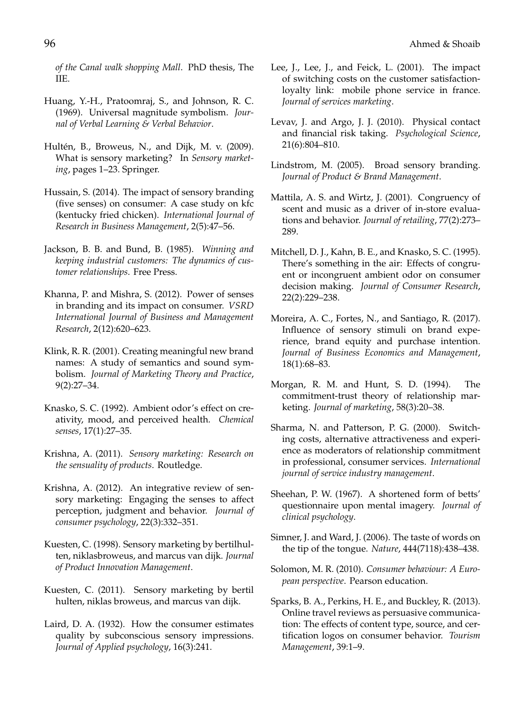*of the Canal walk shopping Mall*. PhD thesis, The IIE.

- <span id="page-9-10"></span>Huang, Y.-H., Pratoomraj, S., and Johnson, R. C. (1969). Universal magnitude symbolism. *Journal of Verbal Learning & Verbal Behavior*.
- <span id="page-9-22"></span>Hultén, B., Broweus, N., and Dijk, M. v. (2009). What is sensory marketing? In *Sensory marketing*, pages 1–23. Springer.
- <span id="page-9-5"></span>Hussain, S. (2014). The impact of sensory branding (five senses) on consumer: A case study on kfc (kentucky fried chicken). *International Journal of Research in Business Management*, 2(5):47–56.
- <span id="page-9-21"></span>Jackson, B. B. and Bund, B. (1985). *Winning and keeping industrial customers: The dynamics of customer relationships*. Free Press.
- <span id="page-9-0"></span>Khanna, P. and Mishra, S. (2012). Power of senses in branding and its impact on consumer. *VSRD International Journal of Business and Management Research*, 2(12):620–623.
- <span id="page-9-11"></span>Klink, R. R. (2001). Creating meaningful new brand names: A study of semantics and sound symbolism. *Journal of Marketing Theory and Practice*, 9(2):27–34.
- <span id="page-9-8"></span>Knasko, S. C. (1992). Ambient odor's effect on creativity, mood, and perceived health. *Chemical senses*, 17(1):27–35.
- <span id="page-9-3"></span>Krishna, A. (2011). *Sensory marketing: Research on the sensuality of products*. Routledge.
- <span id="page-9-1"></span>Krishna, A. (2012). An integrative review of sensory marketing: Engaging the senses to affect perception, judgment and behavior. *Journal of consumer psychology*, 22(3):332–351.
- <span id="page-9-15"></span>Kuesten, C. (1998). Sensory marketing by bertilhulten, niklasbroweus, and marcus van dijk. *Journal of Product Innovation Management*.
- <span id="page-9-14"></span>Kuesten, C. (2011). Sensory marketing by bertil hulten, niklas broweus, and marcus van dijk.
- <span id="page-9-7"></span>Laird, D. A. (1932). How the consumer estimates quality by subconscious sensory impressions. *Journal of Applied psychology*, 16(3):241.
- <span id="page-9-16"></span>Lee, J., Lee, J., and Feick, L. (2001). The impact of switching costs on the customer satisfactionloyalty link: mobile phone service in france. *Journal of services marketing*.
- <span id="page-9-18"></span>Levav, J. and Argo, J. J. (2010). Physical contact and financial risk taking. *Psychological Science*, 21(6):804–810.
- <span id="page-9-12"></span>Lindstrom, M. (2005). Broad sensory branding. *Journal of Product & Brand Management*.
- <span id="page-9-9"></span>Mattila, A. S. and Wirtz, J. (2001). Congruency of scent and music as a driver of in-store evaluations and behavior. *Journal of retailing*, 77(2):273– 289.
- <span id="page-9-17"></span>Mitchell, D. J., Kahn, B. E., and Knasko, S. C. (1995). There's something in the air: Effects of congruent or incongruent ambient odor on consumer decision making. *Journal of Consumer Research*, 22(2):229–238.
- <span id="page-9-2"></span>Moreira, A. C., Fortes, N., and Santiago, R. (2017). Influence of sensory stimuli on brand experience, brand equity and purchase intention. *Journal of Business Economics and Management*, 18(1):68–83.
- <span id="page-9-4"></span>Morgan, R. M. and Hunt, S. D. (1994). The commitment-trust theory of relationship marketing. *Journal of marketing*, 58(3):20–38.
- <span id="page-9-19"></span>Sharma, N. and Patterson, P. G. (2000). Switching costs, alternative attractiveness and experience as moderators of relationship commitment in professional, consumer services. *International journal of service industry management*.
- <span id="page-9-23"></span>Sheehan, P. W. (1967). A shortened form of betts' questionnaire upon mental imagery. *Journal of clinical psychology*.
- <span id="page-9-20"></span>Simner, J. and Ward, J. (2006). The taste of words on the tip of the tongue. *Nature*, 444(7118):438–438.
- <span id="page-9-13"></span>Solomon, M. R. (2010). *Consumer behaviour: A European perspective*. Pearson education.
- <span id="page-9-6"></span>Sparks, B. A., Perkins, H. E., and Buckley, R. (2013). Online travel reviews as persuasive communication: The effects of content type, source, and certification logos on consumer behavior. *Tourism Management*, 39:1–9.